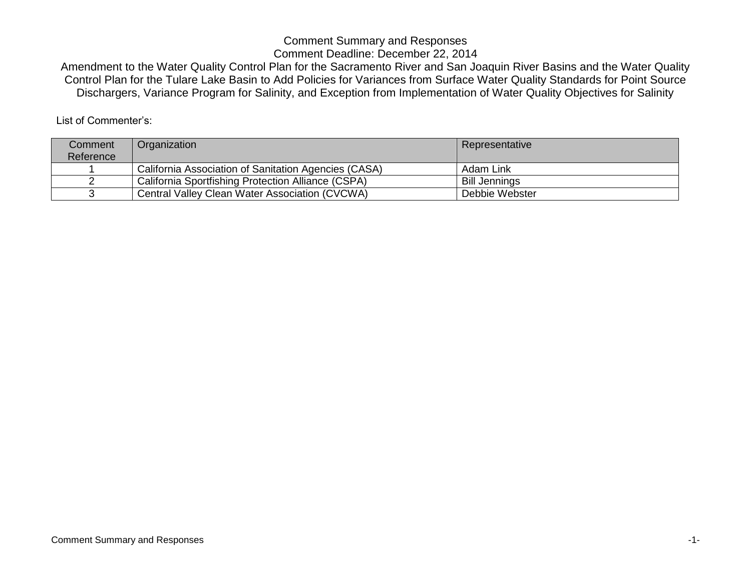Amendment to the Water Quality Control Plan for the Sacramento River and San Joaquin River Basins and the Water Quality Control Plan for the Tulare Lake Basin to Add Policies for Variances from Surface Water Quality Standards for Point Source Dischargers, Variance Program for Salinity, and Exception from Implementation of Water Quality Objectives for Salinity

List of Commenter's:

| Comment   | Organization                                         | Representative       |
|-----------|------------------------------------------------------|----------------------|
| Reference |                                                      |                      |
|           | California Association of Sanitation Agencies (CASA) | Adam Link            |
|           | California Sportfishing Protection Alliance (CSPA)   | <b>Bill Jennings</b> |
|           | Central Valley Clean Water Association (CVCWA)       | Debbie Webster       |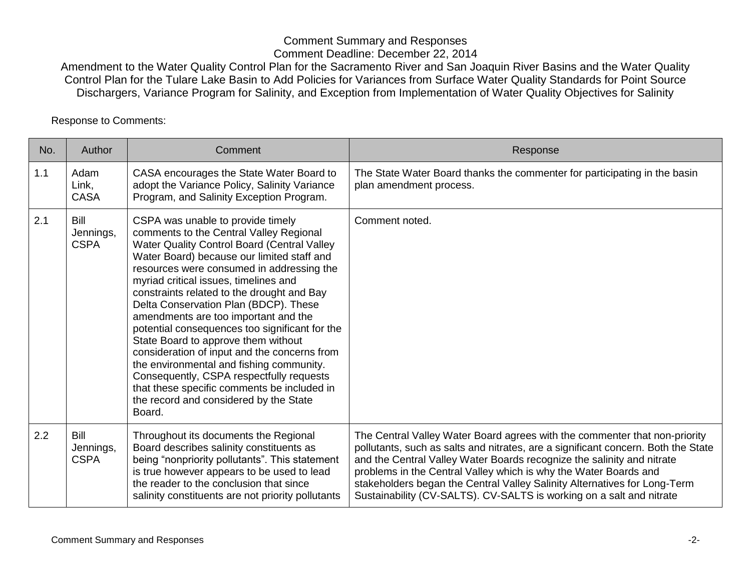Amendment to the Water Quality Control Plan for the Sacramento River and San Joaquin River Basins and the Water Quality Control Plan for the Tulare Lake Basin to Add Policies for Variances from Surface Water Quality Standards for Point Source Dischargers, Variance Program for Salinity, and Exception from Implementation of Water Quality Objectives for Salinity

Response to Comments:

| No. | Author                           | Comment                                                                                                                                                                                                                                                                                                                                                                                                                                                                                                                                                                                                                                                                                                                            | Response                                                                                                                                                                                                                                                                                                                                                                                                                                                           |
|-----|----------------------------------|------------------------------------------------------------------------------------------------------------------------------------------------------------------------------------------------------------------------------------------------------------------------------------------------------------------------------------------------------------------------------------------------------------------------------------------------------------------------------------------------------------------------------------------------------------------------------------------------------------------------------------------------------------------------------------------------------------------------------------|--------------------------------------------------------------------------------------------------------------------------------------------------------------------------------------------------------------------------------------------------------------------------------------------------------------------------------------------------------------------------------------------------------------------------------------------------------------------|
| 1.1 | Adam<br>Link,<br><b>CASA</b>     | CASA encourages the State Water Board to<br>adopt the Variance Policy, Salinity Variance<br>Program, and Salinity Exception Program.                                                                                                                                                                                                                                                                                                                                                                                                                                                                                                                                                                                               | The State Water Board thanks the commenter for participating in the basin<br>plan amendment process.                                                                                                                                                                                                                                                                                                                                                               |
| 2.1 | Bill<br>Jennings,<br><b>CSPA</b> | CSPA was unable to provide timely<br>comments to the Central Valley Regional<br>Water Quality Control Board (Central Valley<br>Water Board) because our limited staff and<br>resources were consumed in addressing the<br>myriad critical issues, timelines and<br>constraints related to the drought and Bay<br>Delta Conservation Plan (BDCP). These<br>amendments are too important and the<br>potential consequences too significant for the<br>State Board to approve them without<br>consideration of input and the concerns from<br>the environmental and fishing community.<br>Consequently, CSPA respectfully requests<br>that these specific comments be included in<br>the record and considered by the State<br>Board. | Comment noted.                                                                                                                                                                                                                                                                                                                                                                                                                                                     |
| 2.2 | Bill<br>Jennings,<br><b>CSPA</b> | Throughout its documents the Regional<br>Board describes salinity constituents as<br>being "nonpriority pollutants". This statement<br>is true however appears to be used to lead<br>the reader to the conclusion that since<br>salinity constituents are not priority pollutants                                                                                                                                                                                                                                                                                                                                                                                                                                                  | The Central Valley Water Board agrees with the commenter that non-priority<br>pollutants, such as salts and nitrates, are a significant concern. Both the State<br>and the Central Valley Water Boards recognize the salinity and nitrate<br>problems in the Central Valley which is why the Water Boards and<br>stakeholders began the Central Valley Salinity Alternatives for Long-Term<br>Sustainability (CV-SALTS). CV-SALTS is working on a salt and nitrate |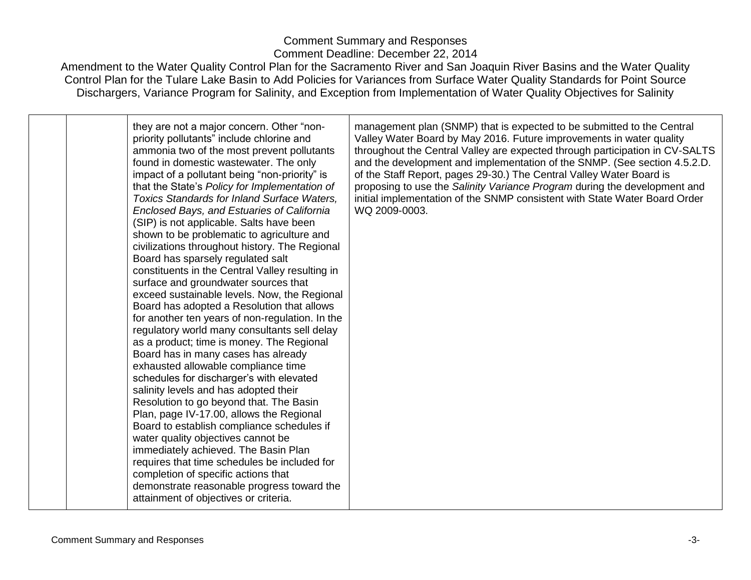Amendment to the Water Quality Control Plan for the Sacramento River and San Joaquin River Basins and the Water Quality Control Plan for the Tulare Lake Basin to Add Policies for Variances from Surface Water Quality Standards for Point Source Dischargers, Variance Program for Salinity, and Exception from Implementation of Water Quality Objectives for Salinity

they are not a major concern. Other "nonpriority pollutants" include chlorine and ammonia two of the most prevent pollutants found in domestic wastewater. The only impact of a pollutant being "non-priority" is that the State's *Policy for Implementation of Toxics Standards for Inland Surface Waters, Enclosed Bays, and Estuaries of California*  (SIP) is not applicable. Salts have been shown to be problematic to agriculture and civilizations throughout history. The Regional Board has sparsely regulated salt constituents in the Central Valley resulting in surface and groundwater sources that exceed sustainable levels. Now, the Regional Board has adopted a Resolution that allows for another ten years of non-regulation. In the regulatory world many consultants sell delay as a product; time is money. The Regional Board has in many cases has already exhausted allowable compliance time schedules for discharger's with elevated salinity levels and has adopted their Resolution to go beyond that. The Basin Plan, page IV-17.00, allows the Regional Board to establish compliance schedules if water quality objectives cannot be immediately achieved. The Basin Plan requires that time schedules be included for completion of specific actions that demonstrate reasonable progress toward the attainment of objectives or criteria.

management plan (SNMP) that is expected to be submitted to the Central Valley Water Board by May 2016. Future improvements in water quality throughout the Central Valley are expected through participation in CV-SALTS and the development and implementation of the SNMP. (See section 4.5.2.D. of the Staff Report, pages 29-30.) The Central Valley Water Board is proposing to use the *Salinity Variance Program* during the development and initial implementation of the SNMP consistent with State Water Board Order WQ 2009-0003.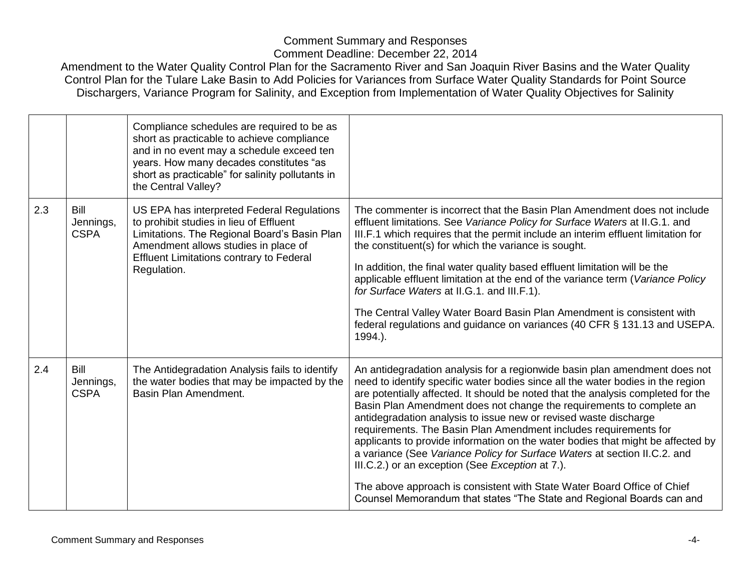|     |                                  | Compliance schedules are required to be as<br>short as practicable to achieve compliance<br>and in no event may a schedule exceed ten<br>years. How many decades constitutes "as<br>short as practicable" for salinity pollutants in<br>the Central Valley? |                                                                                                                                                                                                                                                                                                                                                                                                                                                                                                                                                                                                                                                                                                                                                                                                                                           |
|-----|----------------------------------|-------------------------------------------------------------------------------------------------------------------------------------------------------------------------------------------------------------------------------------------------------------|-------------------------------------------------------------------------------------------------------------------------------------------------------------------------------------------------------------------------------------------------------------------------------------------------------------------------------------------------------------------------------------------------------------------------------------------------------------------------------------------------------------------------------------------------------------------------------------------------------------------------------------------------------------------------------------------------------------------------------------------------------------------------------------------------------------------------------------------|
| 2.3 | Bill<br>Jennings,<br><b>CSPA</b> | US EPA has interpreted Federal Regulations<br>to prohibit studies in lieu of Effluent<br>Limitations. The Regional Board's Basin Plan<br>Amendment allows studies in place of<br><b>Effluent Limitations contrary to Federal</b><br>Regulation.             | The commenter is incorrect that the Basin Plan Amendment does not include<br>effluent limitations. See Variance Policy for Surface Waters at II.G.1. and<br>III.F.1 which requires that the permit include an interim effluent limitation for<br>the constituent(s) for which the variance is sought.<br>In addition, the final water quality based effluent limitation will be the<br>applicable effluent limitation at the end of the variance term (Variance Policy<br>for Surface Waters at II.G.1. and III.F.1).<br>The Central Valley Water Board Basin Plan Amendment is consistent with<br>federal regulations and guidance on variances (40 CFR § 131.13 and USEPA.<br>1994.).                                                                                                                                                   |
| 2.4 | Bill<br>Jennings,<br><b>CSPA</b> | The Antidegradation Analysis fails to identify<br>the water bodies that may be impacted by the<br>Basin Plan Amendment.                                                                                                                                     | An antidegradation analysis for a regionwide basin plan amendment does not<br>need to identify specific water bodies since all the water bodies in the region<br>are potentially affected. It should be noted that the analysis completed for the<br>Basin Plan Amendment does not change the requirements to complete an<br>antidegradation analysis to issue new or revised waste discharge<br>requirements. The Basin Plan Amendment includes requirements for<br>applicants to provide information on the water bodies that might be affected by<br>a variance (See Variance Policy for Surface Waters at section II.C.2. and<br>III.C.2.) or an exception (See Exception at 7.).<br>The above approach is consistent with State Water Board Office of Chief<br>Counsel Memorandum that states "The State and Regional Boards can and |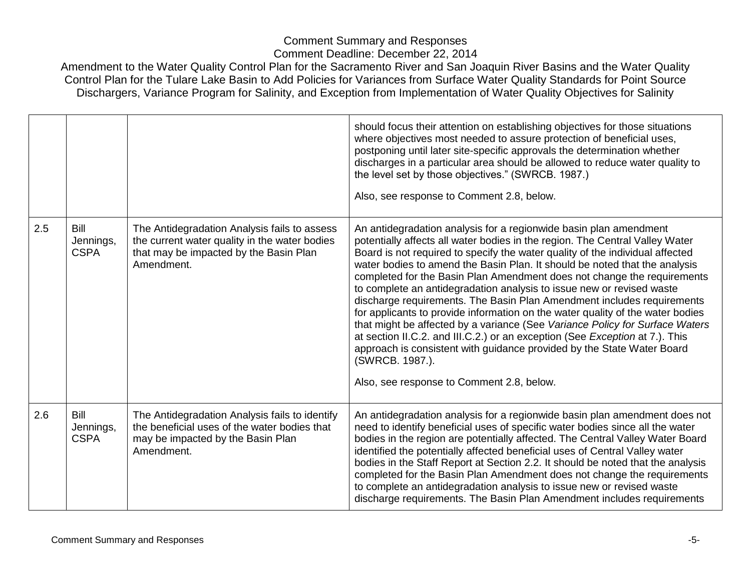|     |                                  |                                                                                                                                                       | should focus their attention on establishing objectives for those situations<br>where objectives most needed to assure protection of beneficial uses,<br>postponing until later site-specific approvals the determination whether<br>discharges in a particular area should be allowed to reduce water quality to<br>the level set by those objectives." (SWRCB. 1987.)<br>Also, see response to Comment 2.8, below.                                                                                                                                                                                                                                                                                                                                                                                                                                                                                                                       |
|-----|----------------------------------|-------------------------------------------------------------------------------------------------------------------------------------------------------|--------------------------------------------------------------------------------------------------------------------------------------------------------------------------------------------------------------------------------------------------------------------------------------------------------------------------------------------------------------------------------------------------------------------------------------------------------------------------------------------------------------------------------------------------------------------------------------------------------------------------------------------------------------------------------------------------------------------------------------------------------------------------------------------------------------------------------------------------------------------------------------------------------------------------------------------|
| 2.5 | Bill<br>Jennings,<br><b>CSPA</b> | The Antidegradation Analysis fails to assess<br>the current water quality in the water bodies<br>that may be impacted by the Basin Plan<br>Amendment. | An antidegradation analysis for a regionwide basin plan amendment<br>potentially affects all water bodies in the region. The Central Valley Water<br>Board is not required to specify the water quality of the individual affected<br>water bodies to amend the Basin Plan. It should be noted that the analysis<br>completed for the Basin Plan Amendment does not change the requirements<br>to complete an antidegradation analysis to issue new or revised waste<br>discharge requirements. The Basin Plan Amendment includes requirements<br>for applicants to provide information on the water quality of the water bodies<br>that might be affected by a variance (See Variance Policy for Surface Waters<br>at section II.C.2. and III.C.2.) or an exception (See Exception at 7.). This<br>approach is consistent with guidance provided by the State Water Board<br>(SWRCB. 1987.).<br>Also, see response to Comment 2.8, below. |
| 2.6 | Bill<br>Jennings,<br><b>CSPA</b> | The Antidegradation Analysis fails to identify<br>the beneficial uses of the water bodies that<br>may be impacted by the Basin Plan<br>Amendment.     | An antidegradation analysis for a regionwide basin plan amendment does not<br>need to identify beneficial uses of specific water bodies since all the water<br>bodies in the region are potentially affected. The Central Valley Water Board<br>identified the potentially affected beneficial uses of Central Valley water<br>bodies in the Staff Report at Section 2.2. It should be noted that the analysis<br>completed for the Basin Plan Amendment does not change the requirements<br>to complete an antidegradation analysis to issue new or revised waste<br>discharge requirements. The Basin Plan Amendment includes requirements                                                                                                                                                                                                                                                                                               |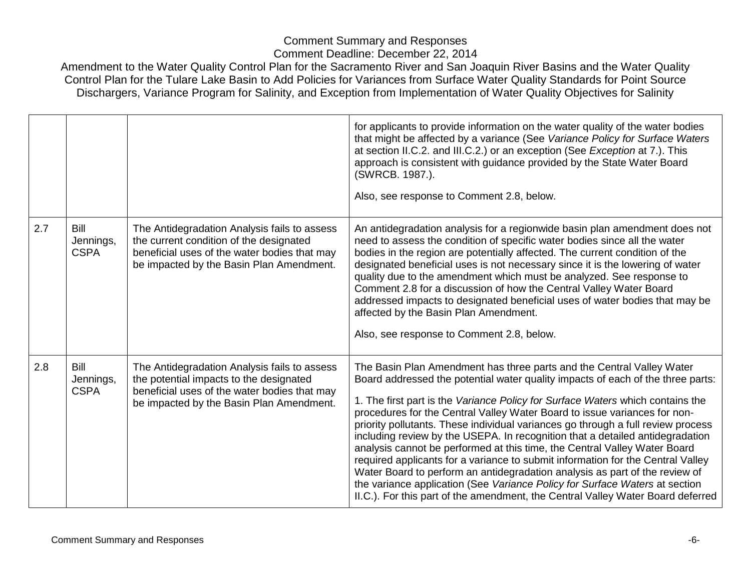|     |                                  |                                                                                                                                                                                     | for applicants to provide information on the water quality of the water bodies<br>that might be affected by a variance (See Variance Policy for Surface Waters<br>at section II.C.2. and III.C.2.) or an exception (See Exception at 7.). This<br>approach is consistent with guidance provided by the State Water Board<br>(SWRCB. 1987.).<br>Also, see response to Comment 2.8, below.                                                                                                                                                                                                                                                                                                                                                                                                                                                                                                                      |
|-----|----------------------------------|-------------------------------------------------------------------------------------------------------------------------------------------------------------------------------------|---------------------------------------------------------------------------------------------------------------------------------------------------------------------------------------------------------------------------------------------------------------------------------------------------------------------------------------------------------------------------------------------------------------------------------------------------------------------------------------------------------------------------------------------------------------------------------------------------------------------------------------------------------------------------------------------------------------------------------------------------------------------------------------------------------------------------------------------------------------------------------------------------------------|
| 2.7 | Bill<br>Jennings,<br><b>CSPA</b> | The Antidegradation Analysis fails to assess<br>the current condition of the designated<br>beneficial uses of the water bodies that may<br>be impacted by the Basin Plan Amendment. | An antidegradation analysis for a regionwide basin plan amendment does not<br>need to assess the condition of specific water bodies since all the water<br>bodies in the region are potentially affected. The current condition of the<br>designated beneficial uses is not necessary since it is the lowering of water<br>quality due to the amendment which must be analyzed. See response to<br>Comment 2.8 for a discussion of how the Central Valley Water Board<br>addressed impacts to designated beneficial uses of water bodies that may be<br>affected by the Basin Plan Amendment.<br>Also, see response to Comment 2.8, below.                                                                                                                                                                                                                                                                    |
| 2.8 | Bill<br>Jennings,<br><b>CSPA</b> | The Antidegradation Analysis fails to assess<br>the potential impacts to the designated<br>beneficial uses of the water bodies that may<br>be impacted by the Basin Plan Amendment. | The Basin Plan Amendment has three parts and the Central Valley Water<br>Board addressed the potential water quality impacts of each of the three parts:<br>1. The first part is the Variance Policy for Surface Waters which contains the<br>procedures for the Central Valley Water Board to issue variances for non-<br>priority pollutants. These individual variances go through a full review process<br>including review by the USEPA. In recognition that a detailed antidegradation<br>analysis cannot be performed at this time, the Central Valley Water Board<br>required applicants for a variance to submit information for the Central Valley<br>Water Board to perform an antidegradation analysis as part of the review of<br>the variance application (See Variance Policy for Surface Waters at section<br>II.C.). For this part of the amendment, the Central Valley Water Board deferred |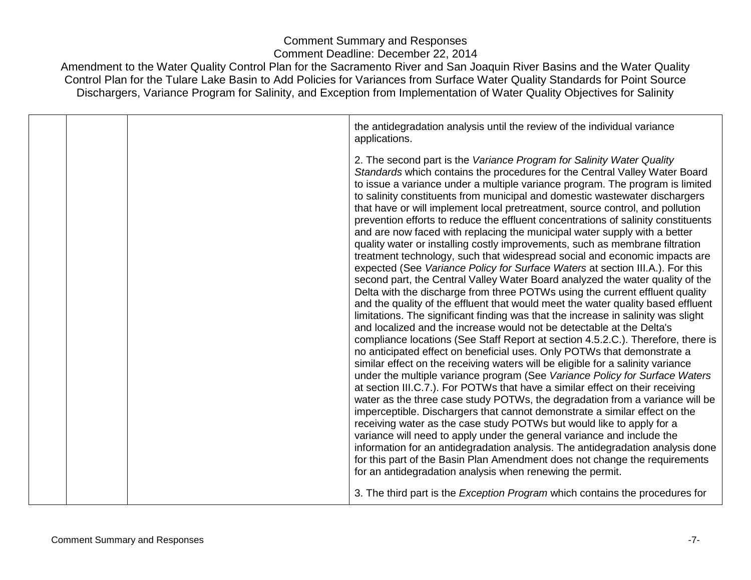|  | the antidegradation analysis until the review of the individual variance                                                                                                                                                                                                                                                                                                                                                                                                                                                                                                                                                                                                                                                                                                                                                                                                                                                                                                                                                                                                                                                                                                                                                                                                                                                                                                                                                                                                                                                                                                                                                                                                                                                                                                                                                                                                                                           |
|--|--------------------------------------------------------------------------------------------------------------------------------------------------------------------------------------------------------------------------------------------------------------------------------------------------------------------------------------------------------------------------------------------------------------------------------------------------------------------------------------------------------------------------------------------------------------------------------------------------------------------------------------------------------------------------------------------------------------------------------------------------------------------------------------------------------------------------------------------------------------------------------------------------------------------------------------------------------------------------------------------------------------------------------------------------------------------------------------------------------------------------------------------------------------------------------------------------------------------------------------------------------------------------------------------------------------------------------------------------------------------------------------------------------------------------------------------------------------------------------------------------------------------------------------------------------------------------------------------------------------------------------------------------------------------------------------------------------------------------------------------------------------------------------------------------------------------------------------------------------------------------------------------------------------------|
|  | applications.<br>2. The second part is the Variance Program for Salinity Water Quality<br>Standards which contains the procedures for the Central Valley Water Board<br>to issue a variance under a multiple variance program. The program is limited<br>to salinity constituents from municipal and domestic wastewater dischargers<br>that have or will implement local pretreatment, source control, and pollution<br>prevention efforts to reduce the effluent concentrations of salinity constituents<br>and are now faced with replacing the municipal water supply with a better<br>quality water or installing costly improvements, such as membrane filtration<br>treatment technology, such that widespread social and economic impacts are<br>expected (See Variance Policy for Surface Waters at section III.A.). For this<br>second part, the Central Valley Water Board analyzed the water quality of the<br>Delta with the discharge from three POTWs using the current effluent quality<br>and the quality of the effluent that would meet the water quality based effluent<br>limitations. The significant finding was that the increase in salinity was slight<br>and localized and the increase would not be detectable at the Delta's<br>compliance locations (See Staff Report at section 4.5.2.C.). Therefore, there is<br>no anticipated effect on beneficial uses. Only POTWs that demonstrate a<br>similar effect on the receiving waters will be eligible for a salinity variance<br>under the multiple variance program (See Variance Policy for Surface Waters<br>at section III.C.7.). For POTWs that have a similar effect on their receiving<br>water as the three case study POTWs, the degradation from a variance will be<br>imperceptible. Dischargers that cannot demonstrate a similar effect on the<br>receiving water as the case study POTWs but would like to apply for a |
|  | variance will need to apply under the general variance and include the<br>information for an antidegradation analysis. The antidegradation analysis done<br>for this part of the Basin Plan Amendment does not change the requirements                                                                                                                                                                                                                                                                                                                                                                                                                                                                                                                                                                                                                                                                                                                                                                                                                                                                                                                                                                                                                                                                                                                                                                                                                                                                                                                                                                                                                                                                                                                                                                                                                                                                             |
|  | for an antidegradation analysis when renewing the permit.                                                                                                                                                                                                                                                                                                                                                                                                                                                                                                                                                                                                                                                                                                                                                                                                                                                                                                                                                                                                                                                                                                                                                                                                                                                                                                                                                                                                                                                                                                                                                                                                                                                                                                                                                                                                                                                          |
|  | 3. The third part is the <i>Exception Program</i> which contains the procedures for                                                                                                                                                                                                                                                                                                                                                                                                                                                                                                                                                                                                                                                                                                                                                                                                                                                                                                                                                                                                                                                                                                                                                                                                                                                                                                                                                                                                                                                                                                                                                                                                                                                                                                                                                                                                                                |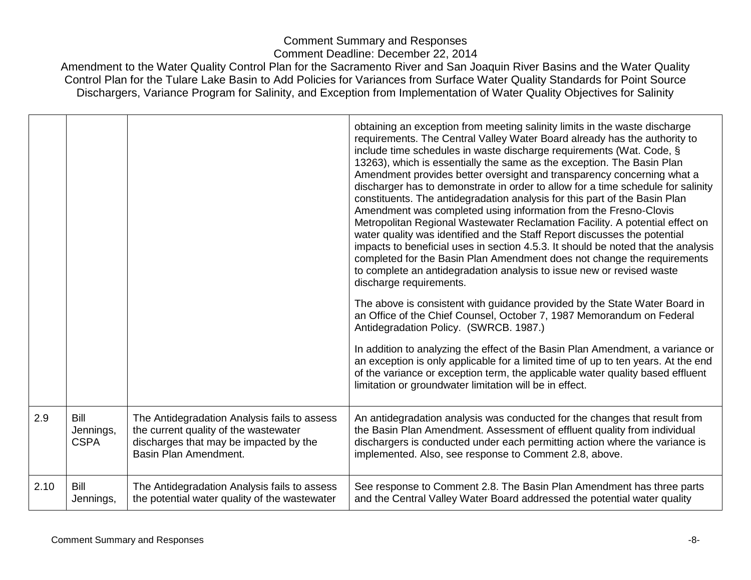|      |                                  |                                                                                                                                                          | obtaining an exception from meeting salinity limits in the waste discharge<br>requirements. The Central Valley Water Board already has the authority to<br>include time schedules in waste discharge requirements (Wat. Code, §<br>13263), which is essentially the same as the exception. The Basin Plan<br>Amendment provides better oversight and transparency concerning what a<br>discharger has to demonstrate in order to allow for a time schedule for salinity<br>constituents. The antidegradation analysis for this part of the Basin Plan<br>Amendment was completed using information from the Fresno-Clovis<br>Metropolitan Regional Wastewater Reclamation Facility. A potential effect on<br>water quality was identified and the Staff Report discusses the potential<br>impacts to beneficial uses in section 4.5.3. It should be noted that the analysis<br>completed for the Basin Plan Amendment does not change the requirements<br>to complete an antidegradation analysis to issue new or revised waste<br>discharge requirements.<br>The above is consistent with guidance provided by the State Water Board in |
|------|----------------------------------|----------------------------------------------------------------------------------------------------------------------------------------------------------|------------------------------------------------------------------------------------------------------------------------------------------------------------------------------------------------------------------------------------------------------------------------------------------------------------------------------------------------------------------------------------------------------------------------------------------------------------------------------------------------------------------------------------------------------------------------------------------------------------------------------------------------------------------------------------------------------------------------------------------------------------------------------------------------------------------------------------------------------------------------------------------------------------------------------------------------------------------------------------------------------------------------------------------------------------------------------------------------------------------------------------------|
|      |                                  |                                                                                                                                                          | an Office of the Chief Counsel, October 7, 1987 Memorandum on Federal<br>Antidegradation Policy. (SWRCB. 1987.)                                                                                                                                                                                                                                                                                                                                                                                                                                                                                                                                                                                                                                                                                                                                                                                                                                                                                                                                                                                                                          |
|      |                                  |                                                                                                                                                          | In addition to analyzing the effect of the Basin Plan Amendment, a variance or<br>an exception is only applicable for a limited time of up to ten years. At the end<br>of the variance or exception term, the applicable water quality based effluent<br>limitation or groundwater limitation will be in effect.                                                                                                                                                                                                                                                                                                                                                                                                                                                                                                                                                                                                                                                                                                                                                                                                                         |
| 2.9  | Bill<br>Jennings,<br><b>CSPA</b> | The Antidegradation Analysis fails to assess<br>the current quality of the wastewater<br>discharges that may be impacted by the<br>Basin Plan Amendment. | An antidegradation analysis was conducted for the changes that result from<br>the Basin Plan Amendment. Assessment of effluent quality from individual<br>dischargers is conducted under each permitting action where the variance is<br>implemented. Also, see response to Comment 2.8, above.                                                                                                                                                                                                                                                                                                                                                                                                                                                                                                                                                                                                                                                                                                                                                                                                                                          |
| 2.10 | Bill<br>Jennings,                | The Antidegradation Analysis fails to assess<br>the potential water quality of the wastewater                                                            | See response to Comment 2.8. The Basin Plan Amendment has three parts<br>and the Central Valley Water Board addressed the potential water quality                                                                                                                                                                                                                                                                                                                                                                                                                                                                                                                                                                                                                                                                                                                                                                                                                                                                                                                                                                                        |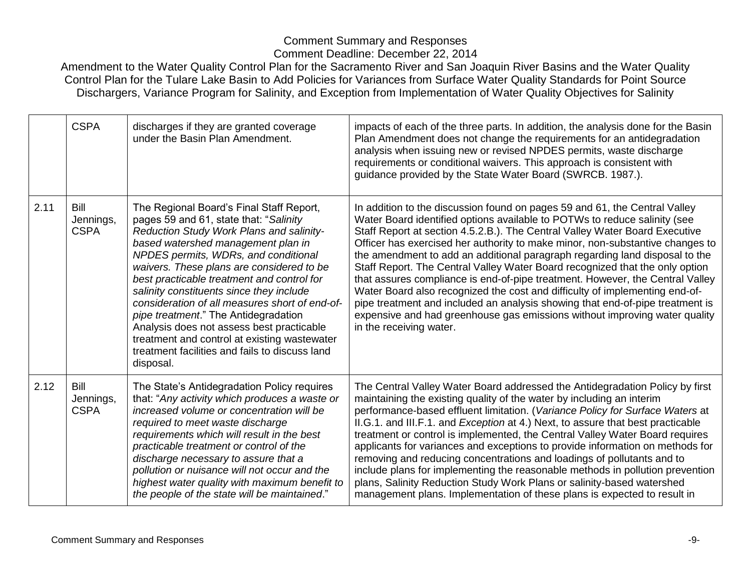|      | <b>CSPA</b>                      | discharges if they are granted coverage<br>under the Basin Plan Amendment.                                                                                                                                                                                                                                                                                                                                                                                                                                                                                                                                | impacts of each of the three parts. In addition, the analysis done for the Basin<br>Plan Amendment does not change the requirements for an antidegradation<br>analysis when issuing new or revised NPDES permits, waste discharge<br>requirements or conditional waivers. This approach is consistent with<br>guidance provided by the State Water Board (SWRCB. 1987.).                                                                                                                                                                                                                                                                                                                                                                                                                                                                         |
|------|----------------------------------|-----------------------------------------------------------------------------------------------------------------------------------------------------------------------------------------------------------------------------------------------------------------------------------------------------------------------------------------------------------------------------------------------------------------------------------------------------------------------------------------------------------------------------------------------------------------------------------------------------------|--------------------------------------------------------------------------------------------------------------------------------------------------------------------------------------------------------------------------------------------------------------------------------------------------------------------------------------------------------------------------------------------------------------------------------------------------------------------------------------------------------------------------------------------------------------------------------------------------------------------------------------------------------------------------------------------------------------------------------------------------------------------------------------------------------------------------------------------------|
| 2.11 | Bill<br>Jennings,<br><b>CSPA</b> | The Regional Board's Final Staff Report,<br>pages 59 and 61, state that: "Salinity<br>Reduction Study Work Plans and salinity-<br>based watershed management plan in<br>NPDES permits, WDRs, and conditional<br>waivers. These plans are considered to be<br>best practicable treatment and control for<br>salinity constituents since they include<br>consideration of all measures short of end-of-<br>pipe treatment." The Antidegradation<br>Analysis does not assess best practicable<br>treatment and control at existing wastewater<br>treatment facilities and fails to discuss land<br>disposal. | In addition to the discussion found on pages 59 and 61, the Central Valley<br>Water Board identified options available to POTWs to reduce salinity (see<br>Staff Report at section 4.5.2.B.). The Central Valley Water Board Executive<br>Officer has exercised her authority to make minor, non-substantive changes to<br>the amendment to add an additional paragraph regarding land disposal to the<br>Staff Report. The Central Valley Water Board recognized that the only option<br>that assures compliance is end-of-pipe treatment. However, the Central Valley<br>Water Board also recognized the cost and difficulty of implementing end-of-<br>pipe treatment and included an analysis showing that end-of-pipe treatment is<br>expensive and had greenhouse gas emissions without improving water quality<br>in the receiving water. |
| 2.12 | Bill<br>Jennings,<br><b>CSPA</b> | The State's Antidegradation Policy requires<br>that: "Any activity which produces a waste or<br>increased volume or concentration will be<br>required to meet waste discharge<br>requirements which will result in the best<br>practicable treatment or control of the<br>discharge necessary to assure that a<br>pollution or nuisance will not occur and the<br>highest water quality with maximum benefit to<br>the people of the state will be maintained."                                                                                                                                           | The Central Valley Water Board addressed the Antidegradation Policy by first<br>maintaining the existing quality of the water by including an interim<br>performance-based effluent limitation. (Variance Policy for Surface Waters at<br>II.G.1. and III.F.1. and Exception at 4.) Next, to assure that best practicable<br>treatment or control is implemented, the Central Valley Water Board requires<br>applicants for variances and exceptions to provide information on methods for<br>removing and reducing concentrations and loadings of pollutants and to<br>include plans for implementing the reasonable methods in pollution prevention<br>plans, Salinity Reduction Study Work Plans or salinity-based watershed<br>management plans. Implementation of these plans is expected to result in                                      |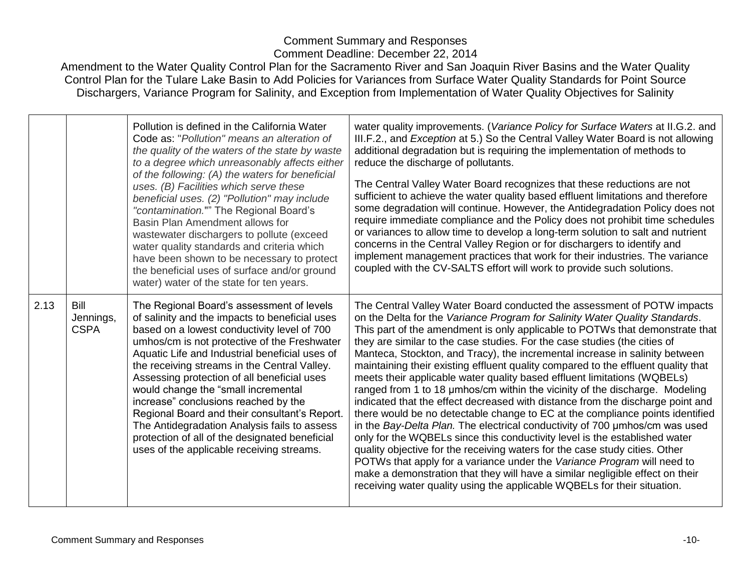|      |                                  | Pollution is defined in the California Water<br>Code as: "Pollution" means an alteration of<br>the quality of the waters of the state by waste<br>to a degree which unreasonably affects either<br>of the following: (A) the waters for beneficial<br>uses. (B) Facilities which serve these<br>beneficial uses. (2) "Pollution" may include<br>"contamination."" The Regional Board's<br>Basin Plan Amendment allows for<br>wastewater dischargers to pollute (exceed<br>water quality standards and criteria which<br>have been shown to be necessary to protect<br>the beneficial uses of surface and/or ground<br>water) water of the state for ten years. | water quality improvements. (Variance Policy for Surface Waters at II.G.2. and<br>III.F.2., and <i>Exception</i> at 5.) So the Central Valley Water Board is not allowing<br>additional degradation but is requiring the implementation of methods to<br>reduce the discharge of pollutants.<br>The Central Valley Water Board recognizes that these reductions are not<br>sufficient to achieve the water quality based effluent limitations and therefore<br>some degradation will continue. However, the Antidegradation Policy does not<br>require immediate compliance and the Policy does not prohibit time schedules<br>or variances to allow time to develop a long-term solution to salt and nutrient<br>concerns in the Central Valley Region or for dischargers to identify and<br>implement management practices that work for their industries. The variance<br>coupled with the CV-SALTS effort will work to provide such solutions.                                                                                                                                                                                                                                                                                                                                                        |
|------|----------------------------------|----------------------------------------------------------------------------------------------------------------------------------------------------------------------------------------------------------------------------------------------------------------------------------------------------------------------------------------------------------------------------------------------------------------------------------------------------------------------------------------------------------------------------------------------------------------------------------------------------------------------------------------------------------------|-----------------------------------------------------------------------------------------------------------------------------------------------------------------------------------------------------------------------------------------------------------------------------------------------------------------------------------------------------------------------------------------------------------------------------------------------------------------------------------------------------------------------------------------------------------------------------------------------------------------------------------------------------------------------------------------------------------------------------------------------------------------------------------------------------------------------------------------------------------------------------------------------------------------------------------------------------------------------------------------------------------------------------------------------------------------------------------------------------------------------------------------------------------------------------------------------------------------------------------------------------------------------------------------------------------|
| 2.13 | Bill<br>Jennings,<br><b>CSPA</b> | The Regional Board's assessment of levels<br>of salinity and the impacts to beneficial uses<br>based on a lowest conductivity level of 700<br>umhos/cm is not protective of the Freshwater<br>Aquatic Life and Industrial beneficial uses of<br>the receiving streams in the Central Valley.<br>Assessing protection of all beneficial uses<br>would change the "small incremental<br>increase" conclusions reached by the<br>Regional Board and their consultant's Report.<br>The Antidegradation Analysis fails to assess<br>protection of all of the designated beneficial<br>uses of the applicable receiving streams.                                     | The Central Valley Water Board conducted the assessment of POTW impacts<br>on the Delta for the Variance Program for Salinity Water Quality Standards.<br>This part of the amendment is only applicable to POTWs that demonstrate that<br>they are similar to the case studies. For the case studies (the cities of<br>Manteca, Stockton, and Tracy), the incremental increase in salinity between<br>maintaining their existing effluent quality compared to the effluent quality that<br>meets their applicable water quality based effluent limitations (WQBELs)<br>ranged from 1 to 18 umhos/cm within the vicinity of the discharge. Modeling<br>indicated that the effect decreased with distance from the discharge point and<br>there would be no detectable change to EC at the compliance points identified<br>in the Bay-Delta Plan. The electrical conductivity of 700 umhos/cm was used<br>only for the WQBELs since this conductivity level is the established water<br>quality objective for the receiving waters for the case study cities. Other<br>POTWs that apply for a variance under the Variance Program will need to<br>make a demonstration that they will have a similar negligible effect on their<br>receiving water quality using the applicable WQBELs for their situation. |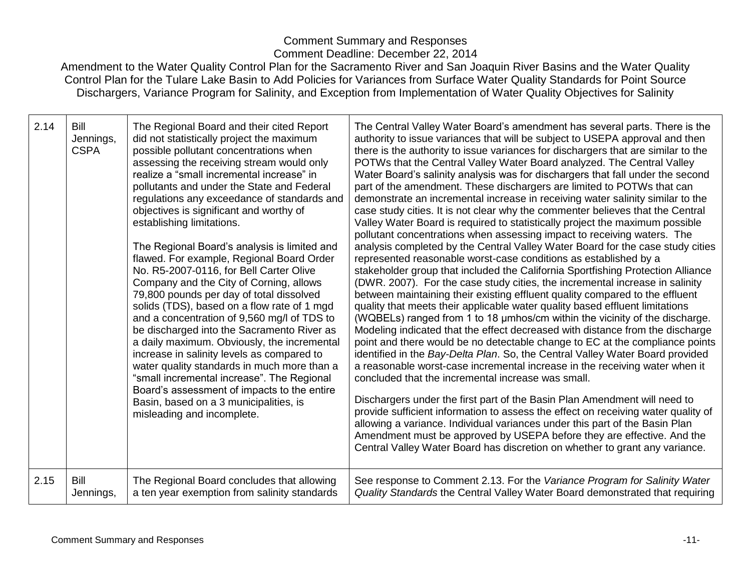| 2.14 | Bill<br>Jennings,<br><b>CSPA</b> | The Regional Board and their cited Report<br>did not statistically project the maximum<br>possible pollutant concentrations when<br>assessing the receiving stream would only<br>realize a "small incremental increase" in<br>pollutants and under the State and Federal<br>regulations any exceedance of standards and<br>objectives is significant and worthy of<br>establishing limitations.<br>The Regional Board's analysis is limited and<br>flawed. For example, Regional Board Order<br>No. R5-2007-0116, for Bell Carter Olive<br>Company and the City of Corning, allows<br>79,800 pounds per day of total dissolved<br>solids (TDS), based on a flow rate of 1 mgd<br>and a concentration of 9,560 mg/l of TDS to<br>be discharged into the Sacramento River as<br>a daily maximum. Obviously, the incremental<br>increase in salinity levels as compared to<br>water quality standards in much more than a<br>"small incremental increase". The Regional<br>Board's assessment of impacts to the entire<br>Basin, based on a 3 municipalities, is<br>misleading and incomplete. | The Central Valley Water Board's amendment has several parts. There is the<br>authority to issue variances that will be subject to USEPA approval and then<br>there is the authority to issue variances for dischargers that are similar to the<br>POTWs that the Central Valley Water Board analyzed. The Central Valley<br>Water Board's salinity analysis was for dischargers that fall under the second<br>part of the amendment. These dischargers are limited to POTWs that can<br>demonstrate an incremental increase in receiving water salinity similar to the<br>case study cities. It is not clear why the commenter believes that the Central<br>Valley Water Board is required to statistically project the maximum possible<br>pollutant concentrations when assessing impact to receiving waters. The<br>analysis completed by the Central Valley Water Board for the case study cities<br>represented reasonable worst-case conditions as established by a<br>stakeholder group that included the California Sportfishing Protection Alliance<br>(DWR. 2007). For the case study cities, the incremental increase in salinity<br>between maintaining their existing effluent quality compared to the effluent<br>quality that meets their applicable water quality based effluent limitations<br>(WQBELs) ranged from 1 to 18 µmhos/cm within the vicinity of the discharge.<br>Modeling indicated that the effect decreased with distance from the discharge<br>point and there would be no detectable change to EC at the compliance points<br>identified in the Bay-Delta Plan. So, the Central Valley Water Board provided<br>a reasonable worst-case incremental increase in the receiving water when it<br>concluded that the incremental increase was small.<br>Dischargers under the first part of the Basin Plan Amendment will need to<br>provide sufficient information to assess the effect on receiving water quality of<br>allowing a variance. Individual variances under this part of the Basin Plan<br>Amendment must be approved by USEPA before they are effective. And the<br>Central Valley Water Board has discretion on whether to grant any variance. |
|------|----------------------------------|---------------------------------------------------------------------------------------------------------------------------------------------------------------------------------------------------------------------------------------------------------------------------------------------------------------------------------------------------------------------------------------------------------------------------------------------------------------------------------------------------------------------------------------------------------------------------------------------------------------------------------------------------------------------------------------------------------------------------------------------------------------------------------------------------------------------------------------------------------------------------------------------------------------------------------------------------------------------------------------------------------------------------------------------------------------------------------------------|-----------------------------------------------------------------------------------------------------------------------------------------------------------------------------------------------------------------------------------------------------------------------------------------------------------------------------------------------------------------------------------------------------------------------------------------------------------------------------------------------------------------------------------------------------------------------------------------------------------------------------------------------------------------------------------------------------------------------------------------------------------------------------------------------------------------------------------------------------------------------------------------------------------------------------------------------------------------------------------------------------------------------------------------------------------------------------------------------------------------------------------------------------------------------------------------------------------------------------------------------------------------------------------------------------------------------------------------------------------------------------------------------------------------------------------------------------------------------------------------------------------------------------------------------------------------------------------------------------------------------------------------------------------------------------------------------------------------------------------------------------------------------------------------------------------------------------------------------------------------------------------------------------------------------------------------------------------------------------------------------------------------------------------------------------------------------------------------------------------------------------------------------------------------------------------------------|
| 2.15 | Bill                             | The Regional Board concludes that allowing                                                                                                                                                                                                                                                                                                                                                                                                                                                                                                                                                                                                                                                                                                                                                                                                                                                                                                                                                                                                                                                  | See response to Comment 2.13. For the Variance Program for Salinity Water                                                                                                                                                                                                                                                                                                                                                                                                                                                                                                                                                                                                                                                                                                                                                                                                                                                                                                                                                                                                                                                                                                                                                                                                                                                                                                                                                                                                                                                                                                                                                                                                                                                                                                                                                                                                                                                                                                                                                                                                                                                                                                                     |
|      | Jennings,                        | a ten year exemption from salinity standards                                                                                                                                                                                                                                                                                                                                                                                                                                                                                                                                                                                                                                                                                                                                                                                                                                                                                                                                                                                                                                                | Quality Standards the Central Valley Water Board demonstrated that requiring                                                                                                                                                                                                                                                                                                                                                                                                                                                                                                                                                                                                                                                                                                                                                                                                                                                                                                                                                                                                                                                                                                                                                                                                                                                                                                                                                                                                                                                                                                                                                                                                                                                                                                                                                                                                                                                                                                                                                                                                                                                                                                                  |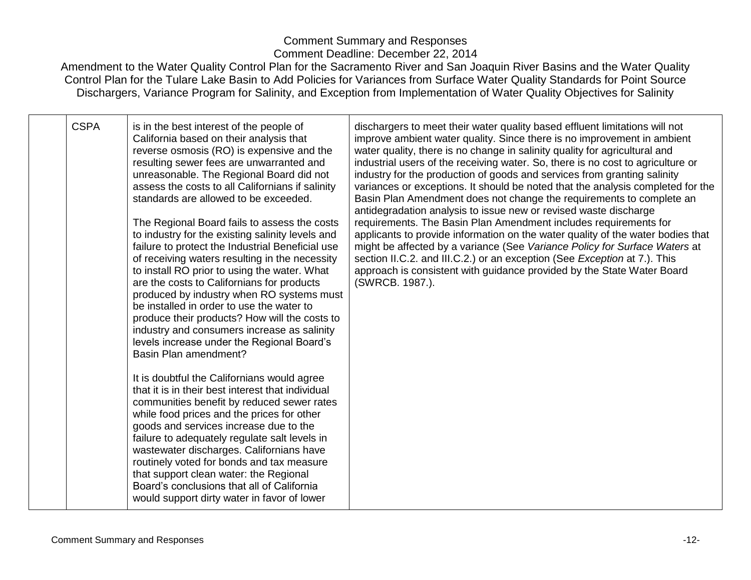| <b>CSPA</b> | is in the best interest of the people of<br>California based on their analysis that<br>reverse osmosis (RO) is expensive and the<br>resulting sewer fees are unwarranted and<br>unreasonable. The Regional Board did not<br>assess the costs to all Californians if salinity<br>standards are allowed to be exceeded.<br>The Regional Board fails to assess the costs<br>to industry for the existing salinity levels and<br>failure to protect the Industrial Beneficial use<br>of receiving waters resulting in the necessity<br>to install RO prior to using the water. What<br>are the costs to Californians for products<br>produced by industry when RO systems must<br>be installed in order to use the water to<br>produce their products? How will the costs to<br>industry and consumers increase as salinity<br>levels increase under the Regional Board's<br>Basin Plan amendment?<br>It is doubtful the Californians would agree<br>that it is in their best interest that individual<br>communities benefit by reduced sewer rates<br>while food prices and the prices for other<br>goods and services increase due to the<br>failure to adequately regulate salt levels in | dischargers to meet their water quality based effluent limitations will not<br>improve ambient water quality. Since there is no improvement in ambient<br>water quality, there is no change in salinity quality for agricultural and<br>industrial users of the receiving water. So, there is no cost to agriculture or<br>industry for the production of goods and services from granting salinity<br>variances or exceptions. It should be noted that the analysis completed for the<br>Basin Plan Amendment does not change the requirements to complete an<br>antidegradation analysis to issue new or revised waste discharge<br>requirements. The Basin Plan Amendment includes requirements for<br>applicants to provide information on the water quality of the water bodies that<br>might be affected by a variance (See Variance Policy for Surface Waters at<br>section II.C.2. and III.C.2.) or an exception (See Exception at 7.). This<br>approach is consistent with guidance provided by the State Water Board<br>(SWRCB. 1987.). |
|-------------|-------------------------------------------------------------------------------------------------------------------------------------------------------------------------------------------------------------------------------------------------------------------------------------------------------------------------------------------------------------------------------------------------------------------------------------------------------------------------------------------------------------------------------------------------------------------------------------------------------------------------------------------------------------------------------------------------------------------------------------------------------------------------------------------------------------------------------------------------------------------------------------------------------------------------------------------------------------------------------------------------------------------------------------------------------------------------------------------------------------------------------------------------------------------------------------------|---------------------------------------------------------------------------------------------------------------------------------------------------------------------------------------------------------------------------------------------------------------------------------------------------------------------------------------------------------------------------------------------------------------------------------------------------------------------------------------------------------------------------------------------------------------------------------------------------------------------------------------------------------------------------------------------------------------------------------------------------------------------------------------------------------------------------------------------------------------------------------------------------------------------------------------------------------------------------------------------------------------------------------------------------|
|             | wastewater discharges. Californians have<br>routinely voted for bonds and tax measure<br>that support clean water: the Regional<br>Board's conclusions that all of California<br>would support dirty water in favor of lower                                                                                                                                                                                                                                                                                                                                                                                                                                                                                                                                                                                                                                                                                                                                                                                                                                                                                                                                                              |                                                                                                                                                                                                                                                                                                                                                                                                                                                                                                                                                                                                                                                                                                                                                                                                                                                                                                                                                                                                                                                   |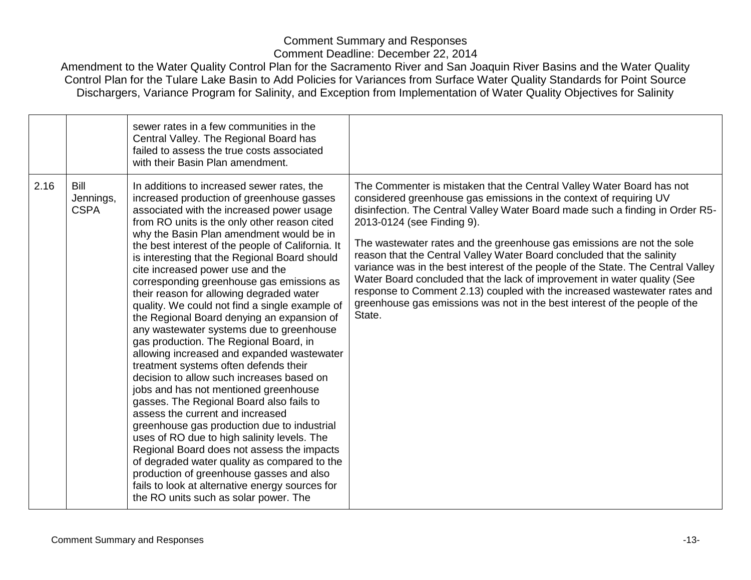|      |                                  | sewer rates in a few communities in the<br>Central Valley. The Regional Board has<br>failed to assess the true costs associated<br>with their Basin Plan amendment.                                                                                                                                                                                                                                                                                                                                                                                                                                                                                                                                                                                                                                                                                                                                                                                                                                                                                                                                                                                                                                                                                        |                                                                                                                                                                                                                                                                                                                                                                                                                                                                                                                                                                                                                                                                                                                                                     |
|------|----------------------------------|------------------------------------------------------------------------------------------------------------------------------------------------------------------------------------------------------------------------------------------------------------------------------------------------------------------------------------------------------------------------------------------------------------------------------------------------------------------------------------------------------------------------------------------------------------------------------------------------------------------------------------------------------------------------------------------------------------------------------------------------------------------------------------------------------------------------------------------------------------------------------------------------------------------------------------------------------------------------------------------------------------------------------------------------------------------------------------------------------------------------------------------------------------------------------------------------------------------------------------------------------------|-----------------------------------------------------------------------------------------------------------------------------------------------------------------------------------------------------------------------------------------------------------------------------------------------------------------------------------------------------------------------------------------------------------------------------------------------------------------------------------------------------------------------------------------------------------------------------------------------------------------------------------------------------------------------------------------------------------------------------------------------------|
| 2.16 | Bill<br>Jennings,<br><b>CSPA</b> | In additions to increased sewer rates, the<br>increased production of greenhouse gasses<br>associated with the increased power usage<br>from RO units is the only other reason cited<br>why the Basin Plan amendment would be in<br>the best interest of the people of California. It<br>is interesting that the Regional Board should<br>cite increased power use and the<br>corresponding greenhouse gas emissions as<br>their reason for allowing degraded water<br>quality. We could not find a single example of<br>the Regional Board denying an expansion of<br>any wastewater systems due to greenhouse<br>gas production. The Regional Board, in<br>allowing increased and expanded wastewater<br>treatment systems often defends their<br>decision to allow such increases based on<br>jobs and has not mentioned greenhouse<br>gasses. The Regional Board also fails to<br>assess the current and increased<br>greenhouse gas production due to industrial<br>uses of RO due to high salinity levels. The<br>Regional Board does not assess the impacts<br>of degraded water quality as compared to the<br>production of greenhouse gasses and also<br>fails to look at alternative energy sources for<br>the RO units such as solar power. The | The Commenter is mistaken that the Central Valley Water Board has not<br>considered greenhouse gas emissions in the context of requiring UV<br>disinfection. The Central Valley Water Board made such a finding in Order R5-<br>2013-0124 (see Finding 9).<br>The wastewater rates and the greenhouse gas emissions are not the sole<br>reason that the Central Valley Water Board concluded that the salinity<br>variance was in the best interest of the people of the State. The Central Valley<br>Water Board concluded that the lack of improvement in water quality (See<br>response to Comment 2.13) coupled with the increased wastewater rates and<br>greenhouse gas emissions was not in the best interest of the people of the<br>State. |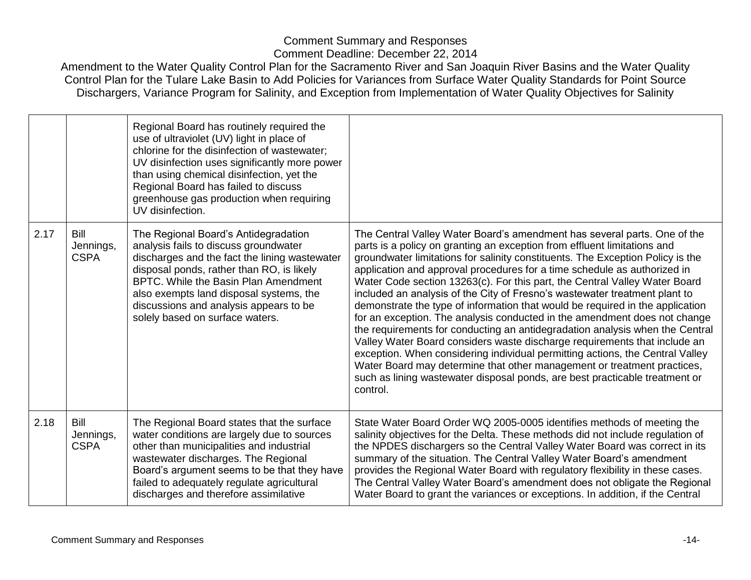|      |                                  | Regional Board has routinely required the<br>use of ultraviolet (UV) light in place of<br>chlorine for the disinfection of wastewater;<br>UV disinfection uses significantly more power<br>than using chemical disinfection, yet the<br>Regional Board has failed to discuss<br>greenhouse gas production when requiring<br>UV disinfection. |                                                                                                                                                                                                                                                                                                                                                                                                                                                                                                                                                                                                                                                                                                                                                                                                                                                                                                                                                                                                                                                                  |
|------|----------------------------------|----------------------------------------------------------------------------------------------------------------------------------------------------------------------------------------------------------------------------------------------------------------------------------------------------------------------------------------------|------------------------------------------------------------------------------------------------------------------------------------------------------------------------------------------------------------------------------------------------------------------------------------------------------------------------------------------------------------------------------------------------------------------------------------------------------------------------------------------------------------------------------------------------------------------------------------------------------------------------------------------------------------------------------------------------------------------------------------------------------------------------------------------------------------------------------------------------------------------------------------------------------------------------------------------------------------------------------------------------------------------------------------------------------------------|
| 2.17 | Bill<br>Jennings,<br><b>CSPA</b> | The Regional Board's Antidegradation<br>analysis fails to discuss groundwater<br>discharges and the fact the lining wastewater<br>disposal ponds, rather than RO, is likely<br>BPTC. While the Basin Plan Amendment<br>also exempts land disposal systems, the<br>discussions and analysis appears to be<br>solely based on surface waters.  | The Central Valley Water Board's amendment has several parts. One of the<br>parts is a policy on granting an exception from effluent limitations and<br>groundwater limitations for salinity constituents. The Exception Policy is the<br>application and approval procedures for a time schedule as authorized in<br>Water Code section 13263(c). For this part, the Central Valley Water Board<br>included an analysis of the City of Fresno's wastewater treatment plant to<br>demonstrate the type of information that would be required in the application<br>for an exception. The analysis conducted in the amendment does not change<br>the requirements for conducting an antidegradation analysis when the Central<br>Valley Water Board considers waste discharge requirements that include an<br>exception. When considering individual permitting actions, the Central Valley<br>Water Board may determine that other management or treatment practices,<br>such as lining wastewater disposal ponds, are best practicable treatment or<br>control. |
| 2.18 | Bill<br>Jennings,<br><b>CSPA</b> | The Regional Board states that the surface<br>water conditions are largely due to sources<br>other than municipalities and industrial<br>wastewater discharges. The Regional<br>Board's argument seems to be that they have<br>failed to adequately regulate agricultural<br>discharges and therefore assimilative                           | State Water Board Order WQ 2005-0005 identifies methods of meeting the<br>salinity objectives for the Delta. These methods did not include regulation of<br>the NPDES dischargers so the Central Valley Water Board was correct in its<br>summary of the situation. The Central Valley Water Board's amendment<br>provides the Regional Water Board with regulatory flexibility in these cases.<br>The Central Valley Water Board's amendment does not obligate the Regional<br>Water Board to grant the variances or exceptions. In addition, if the Central                                                                                                                                                                                                                                                                                                                                                                                                                                                                                                    |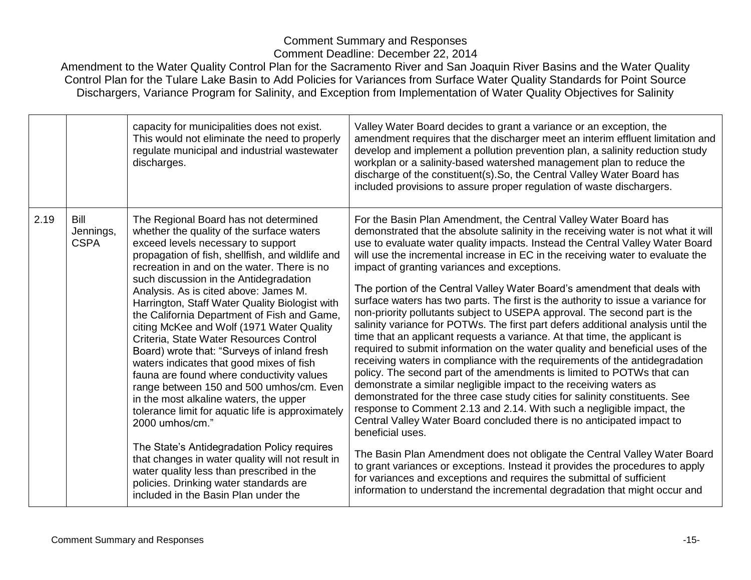|      |                                  | capacity for municipalities does not exist.<br>This would not eliminate the need to properly<br>regulate municipal and industrial wastewater<br>discharges.                                                                                                                                                                                                                                                                                                                                                                                                                                                                                                                                                                                                                                                                                                                                                                                                                                                                                     | Valley Water Board decides to grant a variance or an exception, the<br>amendment requires that the discharger meet an interim effluent limitation and<br>develop and implement a pollution prevention plan, a salinity reduction study<br>workplan or a salinity-based watershed management plan to reduce the<br>discharge of the constituent(s). So, the Central Valley Water Board has<br>included provisions to assure proper regulation of waste dischargers.                                                                                                                                                                                                                                                                                                                                                                                                                                                                                                                                                                                                                                                                                                                                                                                                                                                                                                                                                                                                                                                                                                                                                                                                                    |
|------|----------------------------------|-------------------------------------------------------------------------------------------------------------------------------------------------------------------------------------------------------------------------------------------------------------------------------------------------------------------------------------------------------------------------------------------------------------------------------------------------------------------------------------------------------------------------------------------------------------------------------------------------------------------------------------------------------------------------------------------------------------------------------------------------------------------------------------------------------------------------------------------------------------------------------------------------------------------------------------------------------------------------------------------------------------------------------------------------|---------------------------------------------------------------------------------------------------------------------------------------------------------------------------------------------------------------------------------------------------------------------------------------------------------------------------------------------------------------------------------------------------------------------------------------------------------------------------------------------------------------------------------------------------------------------------------------------------------------------------------------------------------------------------------------------------------------------------------------------------------------------------------------------------------------------------------------------------------------------------------------------------------------------------------------------------------------------------------------------------------------------------------------------------------------------------------------------------------------------------------------------------------------------------------------------------------------------------------------------------------------------------------------------------------------------------------------------------------------------------------------------------------------------------------------------------------------------------------------------------------------------------------------------------------------------------------------------------------------------------------------------------------------------------------------|
| 2.19 | Bill<br>Jennings,<br><b>CSPA</b> | The Regional Board has not determined<br>whether the quality of the surface waters<br>exceed levels necessary to support<br>propagation of fish, shellfish, and wildlife and<br>recreation in and on the water. There is no<br>such discussion in the Antidegradation<br>Analysis. As is cited above: James M.<br>Harrington, Staff Water Quality Biologist with<br>the California Department of Fish and Game,<br>citing McKee and Wolf (1971 Water Quality<br>Criteria, State Water Resources Control<br>Board) wrote that: "Surveys of inland fresh<br>waters indicates that good mixes of fish<br>fauna are found where conductivity values<br>range between 150 and 500 umhos/cm. Even<br>in the most alkaline waters, the upper<br>tolerance limit for aquatic life is approximately<br>2000 umhos/cm."<br>The State's Antidegradation Policy requires<br>that changes in water quality will not result in<br>water quality less than prescribed in the<br>policies. Drinking water standards are<br>included in the Basin Plan under the | For the Basin Plan Amendment, the Central Valley Water Board has<br>demonstrated that the absolute salinity in the receiving water is not what it will<br>use to evaluate water quality impacts. Instead the Central Valley Water Board<br>will use the incremental increase in EC in the receiving water to evaluate the<br>impact of granting variances and exceptions.<br>The portion of the Central Valley Water Board's amendment that deals with<br>surface waters has two parts. The first is the authority to issue a variance for<br>non-priority pollutants subject to USEPA approval. The second part is the<br>salinity variance for POTWs. The first part defers additional analysis until the<br>time that an applicant requests a variance. At that time, the applicant is<br>required to submit information on the water quality and beneficial uses of the<br>receiving waters in compliance with the requirements of the antidegradation<br>policy. The second part of the amendments is limited to POTWs that can<br>demonstrate a similar negligible impact to the receiving waters as<br>demonstrated for the three case study cities for salinity constituents. See<br>response to Comment 2.13 and 2.14. With such a negligible impact, the<br>Central Valley Water Board concluded there is no anticipated impact to<br>beneficial uses.<br>The Basin Plan Amendment does not obligate the Central Valley Water Board<br>to grant variances or exceptions. Instead it provides the procedures to apply<br>for variances and exceptions and requires the submittal of sufficient<br>information to understand the incremental degradation that might occur and |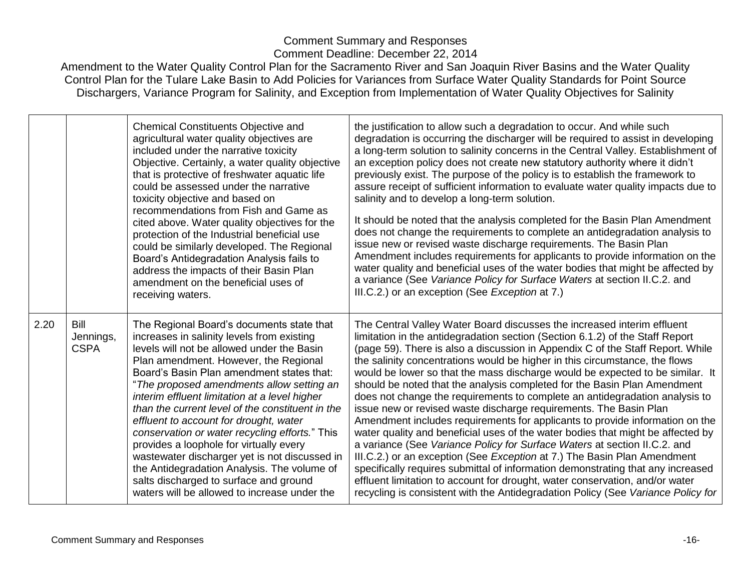|      |                                         | <b>Chemical Constituents Objective and</b><br>agricultural water quality objectives are<br>included under the narrative toxicity<br>Objective. Certainly, a water quality objective<br>that is protective of freshwater aquatic life<br>could be assessed under the narrative<br>toxicity objective and based on<br>recommendations from Fish and Game as<br>cited above. Water quality objectives for the<br>protection of the Industrial beneficial use<br>could be similarly developed. The Regional<br>Board's Antidegradation Analysis fails to<br>address the impacts of their Basin Plan<br>amendment on the beneficial uses of<br>receiving waters.                                                    | the justification to allow such a degradation to occur. And while such<br>degradation is occurring the discharger will be required to assist in developing<br>a long-term solution to salinity concerns in the Central Valley. Establishment of<br>an exception policy does not create new statutory authority where it didn't<br>previously exist. The purpose of the policy is to establish the framework to<br>assure receipt of sufficient information to evaluate water quality impacts due to<br>salinity and to develop a long-term solution.<br>It should be noted that the analysis completed for the Basin Plan Amendment<br>does not change the requirements to complete an antidegradation analysis to<br>issue new or revised waste discharge requirements. The Basin Plan<br>Amendment includes requirements for applicants to provide information on the<br>water quality and beneficial uses of the water bodies that might be affected by<br>a variance (See Variance Policy for Surface Waters at section II.C.2. and<br>III.C.2.) or an exception (See Exception at 7.)                                                                                                                                    |
|------|-----------------------------------------|----------------------------------------------------------------------------------------------------------------------------------------------------------------------------------------------------------------------------------------------------------------------------------------------------------------------------------------------------------------------------------------------------------------------------------------------------------------------------------------------------------------------------------------------------------------------------------------------------------------------------------------------------------------------------------------------------------------|-------------------------------------------------------------------------------------------------------------------------------------------------------------------------------------------------------------------------------------------------------------------------------------------------------------------------------------------------------------------------------------------------------------------------------------------------------------------------------------------------------------------------------------------------------------------------------------------------------------------------------------------------------------------------------------------------------------------------------------------------------------------------------------------------------------------------------------------------------------------------------------------------------------------------------------------------------------------------------------------------------------------------------------------------------------------------------------------------------------------------------------------------------------------------------------------------------------------------------|
| 2.20 | <b>Bill</b><br>Jennings,<br><b>CSPA</b> | The Regional Board's documents state that<br>increases in salinity levels from existing<br>levels will not be allowed under the Basin<br>Plan amendment. However, the Regional<br>Board's Basin Plan amendment states that:<br>"The proposed amendments allow setting an<br>interim effluent limitation at a level higher<br>than the current level of the constituent in the<br>effluent to account for drought, water<br>conservation or water recycling efforts." This<br>provides a loophole for virtually every<br>wastewater discharger yet is not discussed in<br>the Antidegradation Analysis. The volume of<br>salts discharged to surface and ground<br>waters will be allowed to increase under the | The Central Valley Water Board discusses the increased interim effluent<br>limitation in the antidegradation section (Section 6.1.2) of the Staff Report<br>(page 59). There is also a discussion in Appendix C of the Staff Report. While<br>the salinity concentrations would be higher in this circumstance, the flows<br>would be lower so that the mass discharge would be expected to be similar. It<br>should be noted that the analysis completed for the Basin Plan Amendment<br>does not change the requirements to complete an antidegradation analysis to<br>issue new or revised waste discharge requirements. The Basin Plan<br>Amendment includes requirements for applicants to provide information on the<br>water quality and beneficial uses of the water bodies that might be affected by<br>a variance (See Variance Policy for Surface Waters at section II.C.2. and<br>III.C.2.) or an exception (See Exception at 7.) The Basin Plan Amendment<br>specifically requires submittal of information demonstrating that any increased<br>effluent limitation to account for drought, water conservation, and/or water<br>recycling is consistent with the Antidegradation Policy (See Variance Policy for |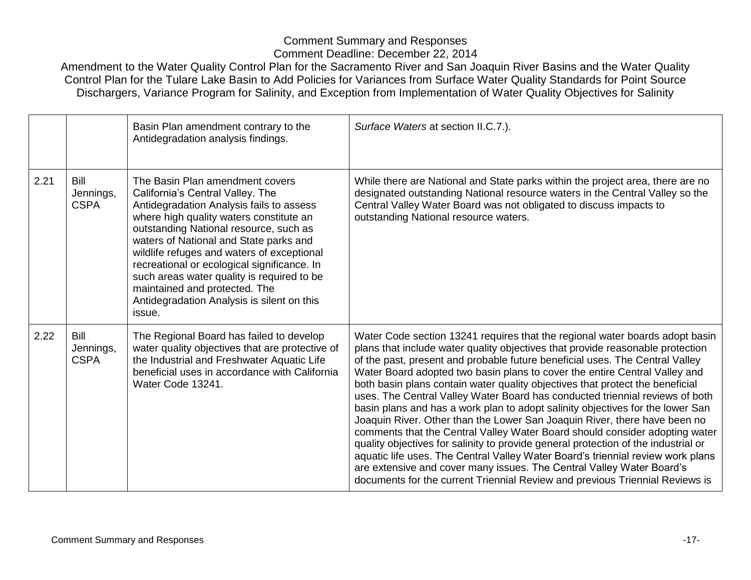|      |                                  | Basin Plan amendment contrary to the<br>Antidegradation analysis findings.                                                                                                                                                                                                                                                                                                                                                                                                         | Surface Waters at section II.C.7.).                                                                                                                                                                                                                                                                                                                                                                                                                                                                                                                                                                                                                                                                                                                                                                                                                                                                                                                                                                                                                                           |
|------|----------------------------------|------------------------------------------------------------------------------------------------------------------------------------------------------------------------------------------------------------------------------------------------------------------------------------------------------------------------------------------------------------------------------------------------------------------------------------------------------------------------------------|-------------------------------------------------------------------------------------------------------------------------------------------------------------------------------------------------------------------------------------------------------------------------------------------------------------------------------------------------------------------------------------------------------------------------------------------------------------------------------------------------------------------------------------------------------------------------------------------------------------------------------------------------------------------------------------------------------------------------------------------------------------------------------------------------------------------------------------------------------------------------------------------------------------------------------------------------------------------------------------------------------------------------------------------------------------------------------|
| 2.21 | Bill<br>Jennings,<br><b>CSPA</b> | The Basin Plan amendment covers<br>California's Central Valley. The<br>Antidegradation Analysis fails to assess<br>where high quality waters constitute an<br>outstanding National resource, such as<br>waters of National and State parks and<br>wildlife refuges and waters of exceptional<br>recreational or ecological significance. In<br>such areas water quality is required to be<br>maintained and protected. The<br>Antidegradation Analysis is silent on this<br>issue. | While there are National and State parks within the project area, there are no<br>designated outstanding National resource waters in the Central Valley so the<br>Central Valley Water Board was not obligated to discuss impacts to<br>outstanding National resource waters.                                                                                                                                                                                                                                                                                                                                                                                                                                                                                                                                                                                                                                                                                                                                                                                                 |
| 2.22 | Bill<br>Jennings,<br><b>CSPA</b> | The Regional Board has failed to develop<br>water quality objectives that are protective of<br>the Industrial and Freshwater Aquatic Life<br>beneficial uses in accordance with California<br>Water Code 13241.                                                                                                                                                                                                                                                                    | Water Code section 13241 requires that the regional water boards adopt basin<br>plans that include water quality objectives that provide reasonable protection<br>of the past, present and probable future beneficial uses. The Central Valley<br>Water Board adopted two basin plans to cover the entire Central Valley and<br>both basin plans contain water quality objectives that protect the beneficial<br>uses. The Central Valley Water Board has conducted triennial reviews of both<br>basin plans and has a work plan to adopt salinity objectives for the lower San<br>Joaquin River. Other than the Lower San Joaquin River, there have been no<br>comments that the Central Valley Water Board should consider adopting water<br>quality objectives for salinity to provide general protection of the industrial or<br>aquatic life uses. The Central Valley Water Board's triennial review work plans<br>are extensive and cover many issues. The Central Valley Water Board's<br>documents for the current Triennial Review and previous Triennial Reviews is |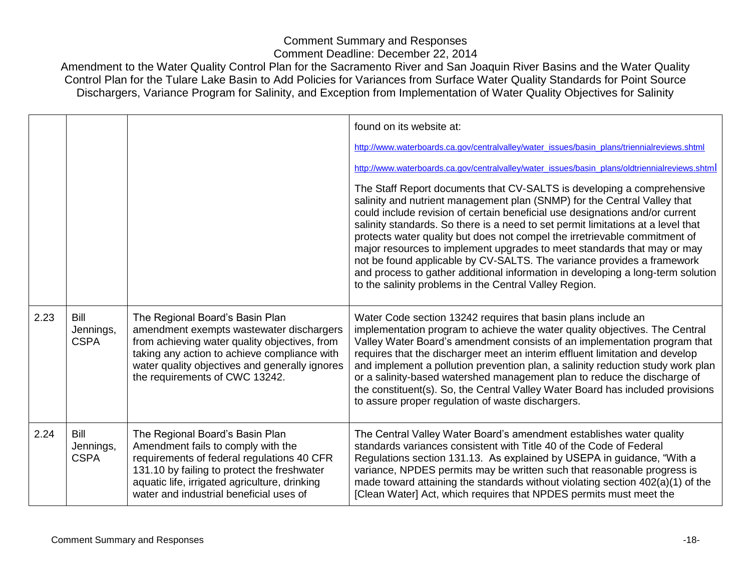|      |                                         |                                                                                                                                                                                                                                                                  | found on its website at:<br>http://www.waterboards.ca.gov/centralvalley/water_issues/basin_plans/triennialreviews.shtml<br>http://www.waterboards.ca.gov/centralvalley/water_issues/basin_plans/oldtriennialreviews.shtml<br>The Staff Report documents that CV-SALTS is developing a comprehensive<br>salinity and nutrient management plan (SNMP) for the Central Valley that<br>could include revision of certain beneficial use designations and/or current<br>salinity standards. So there is a need to set permit limitations at a level that<br>protects water quality but does not compel the irretrievable commitment of<br>major resources to implement upgrades to meet standards that may or may<br>not be found applicable by CV-SALTS. The variance provides a framework<br>and process to gather additional information in developing a long-term solution<br>to the salinity problems in the Central Valley Region. |
|------|-----------------------------------------|------------------------------------------------------------------------------------------------------------------------------------------------------------------------------------------------------------------------------------------------------------------|-------------------------------------------------------------------------------------------------------------------------------------------------------------------------------------------------------------------------------------------------------------------------------------------------------------------------------------------------------------------------------------------------------------------------------------------------------------------------------------------------------------------------------------------------------------------------------------------------------------------------------------------------------------------------------------------------------------------------------------------------------------------------------------------------------------------------------------------------------------------------------------------------------------------------------------|
| 2.23 | <b>Bill</b><br>Jennings,<br><b>CSPA</b> | The Regional Board's Basin Plan<br>amendment exempts wastewater dischargers<br>from achieving water quality objectives, from<br>taking any action to achieve compliance with<br>water quality objectives and generally ignores<br>the requirements of CWC 13242. | Water Code section 13242 requires that basin plans include an<br>implementation program to achieve the water quality objectives. The Central<br>Valley Water Board's amendment consists of an implementation program that<br>requires that the discharger meet an interim effluent limitation and develop<br>and implement a pollution prevention plan, a salinity reduction study work plan<br>or a salinity-based watershed management plan to reduce the discharge of<br>the constituent(s). So, the Central Valley Water Board has included provisions<br>to assure proper regulation of waste dischargers.                                                                                                                                                                                                                                                                                                                     |
| 2.24 | <b>Bill</b><br>Jennings,<br><b>CSPA</b> | The Regional Board's Basin Plan<br>Amendment fails to comply with the<br>requirements of federal regulations 40 CFR<br>131.10 by failing to protect the freshwater<br>aquatic life, irrigated agriculture, drinking<br>water and industrial beneficial uses of   | The Central Valley Water Board's amendment establishes water quality<br>standards variances consistent with Title 40 of the Code of Federal<br>Regulations section 131.13. As explained by USEPA in guidance, "With a<br>variance, NPDES permits may be written such that reasonable progress is<br>made toward attaining the standards without violating section 402(a)(1) of the<br>[Clean Water] Act, which requires that NPDES permits must meet the                                                                                                                                                                                                                                                                                                                                                                                                                                                                            |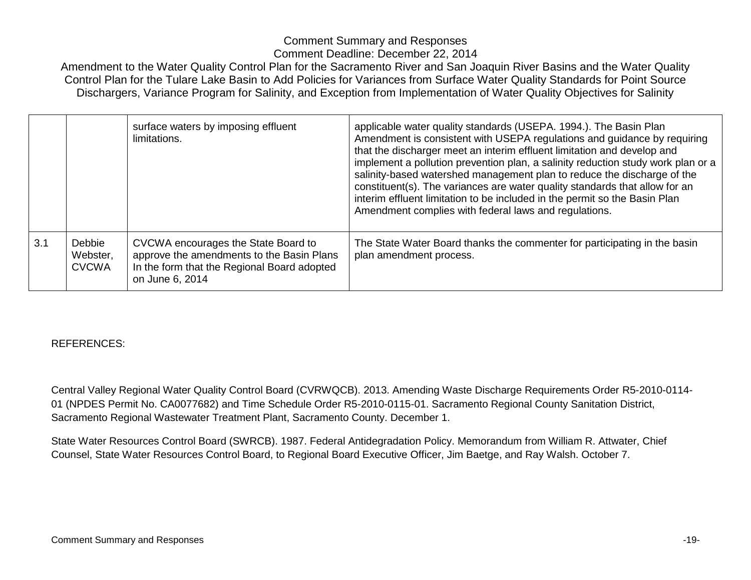Amendment to the Water Quality Control Plan for the Sacramento River and San Joaquin River Basins and the Water Quality Control Plan for the Tulare Lake Basin to Add Policies for Variances from Surface Water Quality Standards for Point Source Dischargers, Variance Program for Salinity, and Exception from Implementation of Water Quality Objectives for Salinity

|     |                                    | surface waters by imposing effluent<br>limitations.                                                                                                | applicable water quality standards (USEPA. 1994.). The Basin Plan<br>Amendment is consistent with USEPA regulations and guidance by requiring<br>that the discharger meet an interim effluent limitation and develop and<br>implement a pollution prevention plan, a salinity reduction study work plan or a<br>salinity-based watershed management plan to reduce the discharge of the<br>constituent(s). The variances are water quality standards that allow for an<br>interim effluent limitation to be included in the permit so the Basin Plan<br>Amendment complies with federal laws and regulations. |
|-----|------------------------------------|----------------------------------------------------------------------------------------------------------------------------------------------------|---------------------------------------------------------------------------------------------------------------------------------------------------------------------------------------------------------------------------------------------------------------------------------------------------------------------------------------------------------------------------------------------------------------------------------------------------------------------------------------------------------------------------------------------------------------------------------------------------------------|
| 3.1 | Debbie<br>Webster,<br><b>CVCWA</b> | CVCWA encourages the State Board to<br>approve the amendments to the Basin Plans<br>In the form that the Regional Board adopted<br>on June 6, 2014 | The State Water Board thanks the commenter for participating in the basin<br>plan amendment process.                                                                                                                                                                                                                                                                                                                                                                                                                                                                                                          |

#### REFERENCES:

Central Valley Regional Water Quality Control Board (CVRWQCB). 2013. Amending Waste Discharge Requirements Order R5-2010-0114- 01 (NPDES Permit No. CA0077682) and Time Schedule Order R5-2010-0115-01. Sacramento Regional County Sanitation District, Sacramento Regional Wastewater Treatment Plant, Sacramento County. December 1.

State Water Resources Control Board (SWRCB). 1987. Federal Antidegradation Policy. Memorandum from William R. Attwater, Chief Counsel, State Water Resources Control Board, to Regional Board Executive Officer, Jim Baetge, and Ray Walsh. October 7.